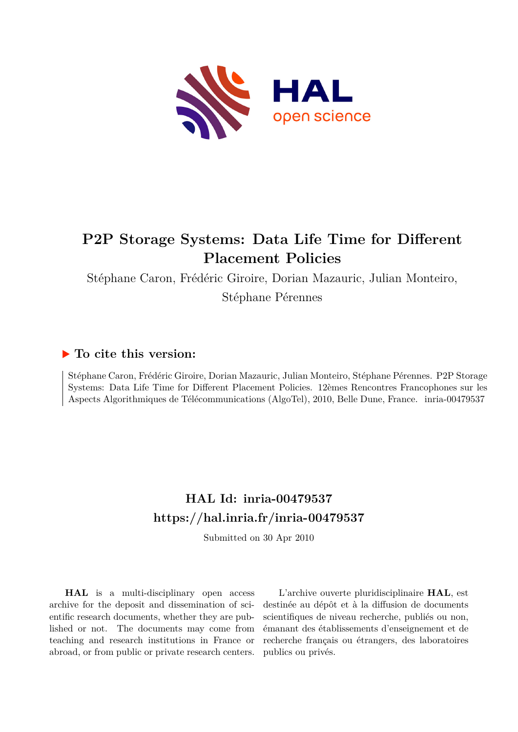

# **P2P Storage Systems: Data Life Time for Different Placement Policies**

Stéphane Caron, Frédéric Giroire, Dorian Mazauric, Julian Monteiro,

Stéphane Pérennes

# **To cite this version:**

Stéphane Caron, Frédéric Giroire, Dorian Mazauric, Julian Monteiro, Stéphane Pérennes. P2P Storage Systems: Data Life Time for Different Placement Policies. 12èmes Rencontres Francophones sur les Aspects Algorithmiques de Télécommunications (AlgoTel), 2010, Belle Dune, France. inria-00479537

# **HAL Id: inria-00479537 <https://hal.inria.fr/inria-00479537>**

Submitted on 30 Apr 2010

**HAL** is a multi-disciplinary open access archive for the deposit and dissemination of scientific research documents, whether they are published or not. The documents may come from teaching and research institutions in France or abroad, or from public or private research centers.

L'archive ouverte pluridisciplinaire **HAL**, est destinée au dépôt et à la diffusion de documents scientifiques de niveau recherche, publiés ou non, émanant des établissements d'enseignement et de recherche français ou étrangers, des laboratoires publics ou privés.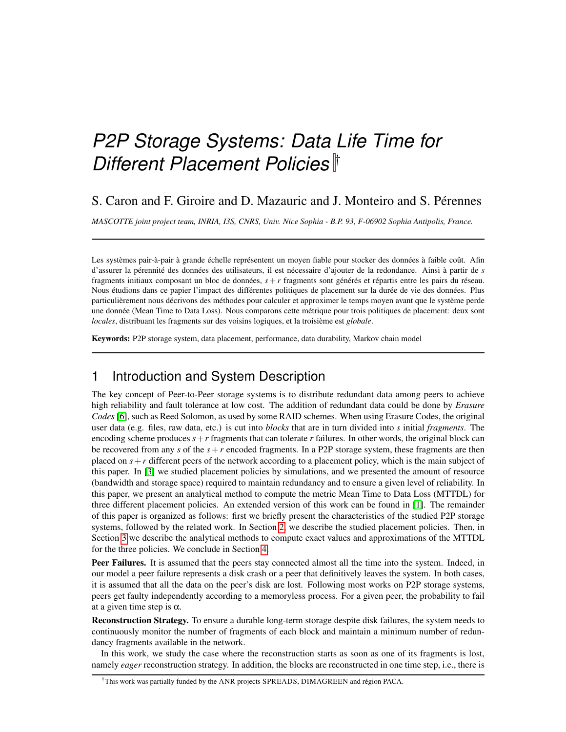# *P2P Storage Systems: Data Life Time for Different Placement Policies* †

## S. Caron and F. Giroire and D. Mazauric and J. Monteiro and S. Pérennes

*MASCOTTE joint project team, INRIA, I3S, CNRS, Univ. Nice Sophia - B.P. 93, F-06902 Sophia Antipolis, France.*

Les systèmes pair-à-pair à grande échelle représentent un moyen fiable pour stocker des données à faible coût. Afin d'assurer la pérennité des données des utilisateurs, il est nécessaire d'ajouter de la redondance. Ainsi à partir de *s* fragments initiaux composant un bloc de données,  $s + r$  fragments sont générés et répartis entre les pairs du réseau. Nous étudions dans ce papier l'impact des différentes politiques de placement sur la durée de vie des données. Plus particulièrement nous décrivons des méthodes pour calculer et approximer le temps moyen avant que le système perde une donnée (Mean Time to Data Loss). Nous comparons cette métrique pour trois politiques de placement: deux sont *locales*, distribuant les fragments sur des voisins logiques, et la troisième est *globale*.

Keywords: P2P storage system, data placement, performance, data durability, Markov chain model

# 1 Introduction and System Description

The key concept of Peer-to-Peer storage systems is to distribute redundant data among peers to achieve high reliability and fault tolerance at low cost. The addition of redundant data could be done by *Erasure Codes* [\[6\]](#page-4-0), such as Reed Solomon, as used by some RAID schemes. When using Erasure Codes, the original user data (e.g. files, raw data, etc.) is cut into *blocks* that are in turn divided into *s* initial *fragments*. The encoding scheme produces  $s + r$  fragments that can tolerate r failures. In other words, the original block can be recovered from any *s* of the *s*+*r* encoded fragments. In a P2P storage system, these fragments are then placed on  $s + r$  different peers of the network according to a placement policy, which is the main subject of this paper. In [\[3\]](#page-4-1) we studied placement policies by simulations, and we presented the amount of resource (bandwidth and storage space) required to maintain redundancy and to ensure a given level of reliability. In this paper, we present an analytical method to compute the metric Mean Time to Data Loss (MTTDL) for three different placement policies. An extended version of this work can be found in [\[1\]](#page-4-2). The remainder of this paper is organized as follows: first we briefly present the characteristics of the studied P2P storage systems, followed by the related work. In Section [2,](#page-2-0) we describe the studied placement policies. Then, in Section [3](#page-3-0) we describe the analytical methods to compute exact values and approximations of the MTTDL for the three policies. We conclude in Section [4.](#page-4-3)

Peer Failures. It is assumed that the peers stay connected almost all the time into the system. Indeed, in our model a peer failure represents a disk crash or a peer that definitively leaves the system. In both cases, it is assumed that all the data on the peer's disk are lost. Following most works on P2P storage systems, peers get faulty independently according to a memoryless process. For a given peer, the probability to fail at a given time step is  $\alpha$ .

Reconstruction Strategy. To ensure a durable long-term storage despite disk failures, the system needs to continuously monitor the number of fragments of each block and maintain a minimum number of redundancy fragments available in the network.

In this work, we study the case where the reconstruction starts as soon as one of its fragments is lost, namely *eager* reconstruction strategy. In addition, the blocks are reconstructed in one time step, i.e., there is

†This work was partially funded by the ANR projects SPREADS, DIMAGREEN and region PACA. ´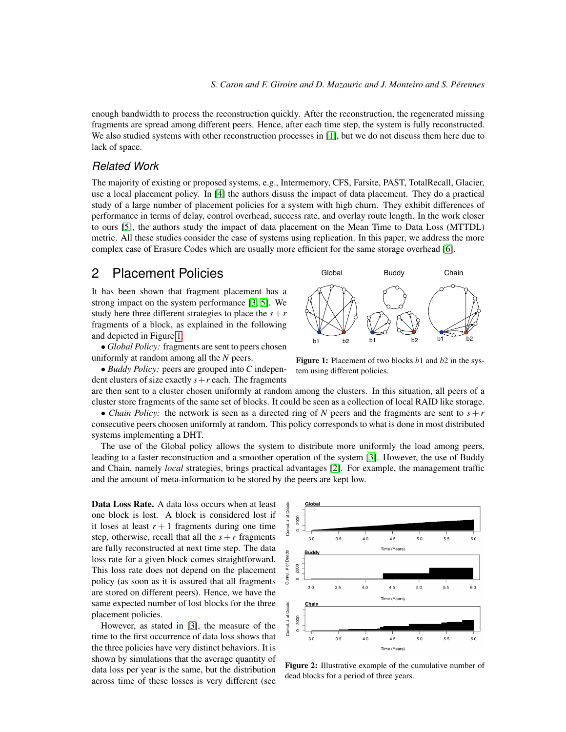Global

enough bandwidth to process the reconstruction quickly. After the reconstruction, the regenerated missing fragments are spread among different peers. Hence, after each time step, the system is fully reconstructed. We also studied systems with other reconstruction processes in [\[1\]](#page-4-2), but we do not discuss them here due to lack of space.

#### *Related Work*

The majority of existing or proposed systems, e.g., Intermemory, CFS, Farsite, PAST, TotalRecall, Glacier, use a local placement policy. In [\[4\]](#page-4-4) the authors disuss the impact of data placement. They do a practical study of a large number of placement policies for a system with high churn. They exhibit differences of performance in terms of delay, control overhead, success rate, and overlay route length. In the work closer to ours [\[5\]](#page-4-5), the authors study the impact of data placement on the Mean Time to Data Loss (MTTDL) metric. All these studies consider the case of systems using replication. In this paper, we address the more complex case of Erasure Codes which are usually more efficient for the same storage overhead [\[6\]](#page-4-0).

## <span id="page-2-0"></span>2 Placement Policies

It has been shown that fragment placement has a strong impact on the system performance [\[3,](#page-4-1) [5\]](#page-4-5). We study here three different strategies to place the  $s + r$ fragments of a block, as explained in the following and depicted in Figure [1:](#page-2-1)

• *Global Policy:* fragments are sent to peers chosen uniformly at random among all the *N* peers.

• *Buddy Policy:* peers are grouped into *C* independent clusters of size exactly  $s + r$  each. The fragments



Buddy

Chain

<span id="page-2-1"></span>tem using different policies.

are then sent to a cluster chosen uniformly at random among the clusters. In this situation, all peers of a cluster store fragments of the same set of blocks. It could be seen as a collection of local RAID like storage. • *Chain Policy:* the network is seen as a directed ring of *N* peers and the fragments are sent to  $s + r$ 

consecutive peers choosen uniformly at random. This policy corresponds to what is done in most distributed systems implementing a DHT.

The use of the Global policy allows the system to distribute more uniformly the load among peers, leading to a faster reconstruction and a smoother operation of the system [\[3\]](#page-4-1). However, the use of Buddy and Chain, namely *local* strategies, brings practical advantages [\[2\]](#page-4-6). For example, the management traffic and the amount of meta-information to be stored by the peers are kept low.

Data Loss Rate. A data loss occurs when at least one block is lost. A block is considered lost if it loses at least  $r + 1$  fragments during one time step, otherwise, recall that all the  $s + r$  fragments are fully reconstructed at next time step. The data loss rate for a given block comes straightforward. This loss rate does not depend on the placement policy (as soon as it is assured that all fragments are stored on different peers). Hence, we have the same expected number of lost blocks for the three placement policies.

However, as stated in [\[3\]](#page-4-1), the measure of the time to the first occurrence of data loss shows that the three policies have very distinct behaviors. It is shown by simulations that the average quantity of data loss per year is the same, but the distribution across time of these losses is very different (see



<span id="page-2-2"></span>Figure 2: Illustrative example of the cumulative number of dead blocks for a period of three years.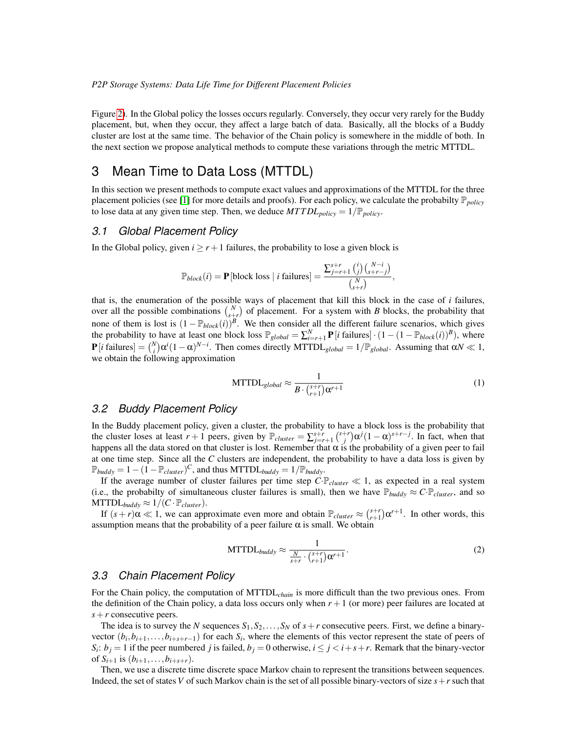Figure [2\)](#page-2-2). In the Global policy the losses occurs regularly. Conversely, they occur very rarely for the Buddy placement, but, when they occur, they affect a large batch of data. Basically, all the blocks of a Buddy cluster are lost at the same time. The behavior of the Chain policy is somewhere in the middle of both. In the next section we propose analytical methods to compute these variations through the metric MTTDL.

# <span id="page-3-0"></span>3 Mean Time to Data Loss (MTTDL)

In this section we present methods to compute exact values and approximations of the MTTDL for the three placement policies (see [\[1\]](#page-4-2) for more details and proofs). For each policy, we calculate the probabilty P*policy* to lose data at any given time step. Then, we deduce  $MTTDL_{policy} = 1/\mathbb{P}_{policy}$ .

#### *3.1 Global Placement Policy*

In the Global policy, given  $i \ge r+1$  failures, the probability to lose a given block is

$$
\mathbb{P}_{block}(i) = \mathbf{P}[\text{block loss} \mid i \text{ failures}] = \frac{\sum_{j=r+1}^{s+r} {i \choose j} {N-i \choose s+r-j}}{{N \choose s+r}},
$$

that is, the enumeration of the possible ways of placement that kill this block in the case of *i* failures, over all the possible combinations  $\binom{N}{s+r}$  of placement. For a system with *B* blocks, the probability that none of them is lost is  $(1 - \mathbb{P}_{block}(i))^B$ . We then consider all the different failure scenarios, which gives the probability to have at least one block loss  $\mathbb{P}_{global} = \sum_{i=r+1}^{N} \mathbf{P}[i \text{ failures}] \cdot (1 - (1 - \mathbb{P}_{block}(i))^B)$ , where  $P[i \text{ failures}] = {N \choose i} \alpha^i (1 - \alpha)^{N - i}$ . Then comes directly MTTDL<sub>global</sub> = 1/ $\mathbb{P}_{global}$ . Assuming that  $\alpha N \ll 1$ , we obtain the following approximation

$$
\text{MTTDL}_{global} \approx \frac{1}{B \cdot \binom{s+r}{r+1} \alpha^{r+1}} \tag{1}
$$

#### <span id="page-3-1"></span>*3.2 Buddy Placement Policy*

In the Buddy placement policy, given a cluster, the probability to have a block loss is the probability that the cluster loses at least  $r + 1$  peers, given by  $\mathbb{P}_{cluster} = \sum_{j=r+1}^{s+r} {s+r \choose j} \alpha^j (1-\alpha)^{s+r-j}$ . In fact, when that happens all the data stored on that cluster is lost. Remember that  $\alpha$  is the probability of a given peer to fail at one time step. Since all the *C* clusters are independent, the probability to have a data loss is given by  $\mathbb{P}_{\text{buddy}} = 1 - (1 - \mathbb{P}_{\text{cluster}})^C$ , and thus MTTDL<sub>buddy</sub> =  $1/\mathbb{P}_{\text{buddy}}$ .

If the average number of cluster failures per time step  $C \cdot \mathbb{P}_{cluster} \ll 1$ , as expected in a real system (i.e., the probabilty of simultaneous cluster failures is small), then we have  $\mathbb{P}_{\text{buddy}} \approx C \cdot \mathbb{P}_{\text{cluster}}$ , and so  $MTTDL_{buddy} \approx 1/(C \cdot \mathbb{P}_{cluster}).$ 

<span id="page-3-2"></span>If  $(s+r)\alpha \ll 1$ , we can approximate even more and obtain  $\mathbb{P}_{cluster} \approx {s+r \choose r+1} \alpha^{r+1}$ . In other words, this assumption means that the probability of a peer failure  $\alpha$  is small. We obtain

$$
MTTDL_{buddy} \approx \frac{1}{\frac{N}{s+r} \cdot {s+r \choose r+1} \alpha^{r+1}}.
$$
 (2)

#### *3.3 Chain Placement Policy*

For the Chain policy, the computation of MTTDL*chain* is more difficult than the two previous ones. From the definition of the Chain policy, a data loss occurs only when  $r + 1$  (or more) peer failures are located at *s*+*r* consecutive peers.

The idea is to survey the *N* sequences  $S_1, S_2, \ldots, S_N$  of  $s + r$  consecutive peers. First, we define a binaryvector  $(b_i, b_{i+1}, \ldots, b_{i+s+r-1})$  for each  $S_i$ , where the elements of this vector represent the state of peers of  $S_i: b_j = 1$  if the peer numbered *j* is failed,  $b_j = 0$  otherwise,  $i \leq j < i + s + r$ . Remark that the binary-vector of  $S_{i+1}$  is  $(b_{i+1},...,b_{i+s+r})$ .

Then, we use a discrete time discrete space Markov chain to represent the transitions between sequences. Indeed, the set of states *V* of such Markov chain is the set of all possible binary-vectors of size *s*+*r* such that